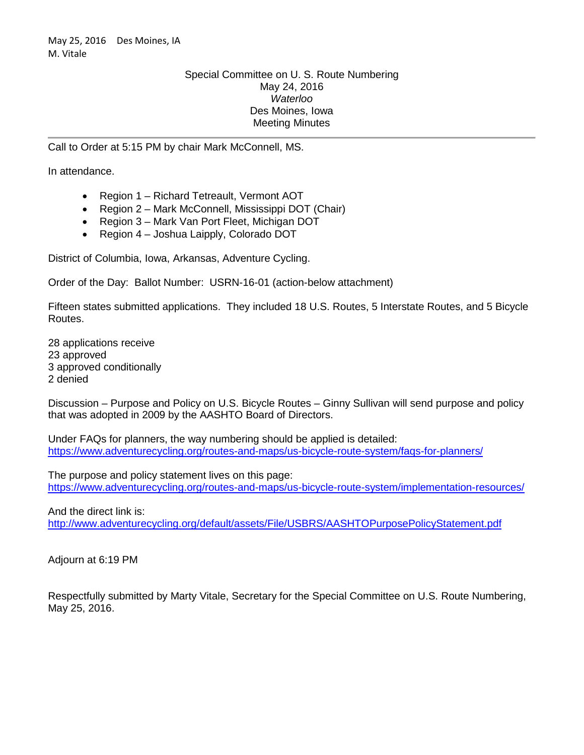## Special Committee on U. S. Route Numbering May 24, 2016 *Waterloo* Des Moines, Iowa Meeting Minutes

Call to Order at 5:15 PM by chair Mark McConnell, MS.

In attendance.

- Region 1 Richard Tetreault, Vermont AOT
- Region 2 Mark McConnell, Mississippi DOT (Chair)
- Region 3 Mark Van Port Fleet, Michigan DOT
- Region 4 Joshua Laipply, Colorado DOT

District of Columbia, Iowa, Arkansas, Adventure Cycling.

Order of the Day: Ballot Number: USRN-16-01 (action-below attachment)

Fifteen states submitted applications. They included 18 U.S. Routes, 5 Interstate Routes, and 5 Bicycle Routes.

28 applications receive 23 approved 3 approved conditionally 2 denied

Discussion – Purpose and Policy on U.S. Bicycle Routes – Ginny Sullivan will send purpose and policy that was adopted in 2009 by the AASHTO Board of Directors.

Under FAQs for planners, the way numbering should be applied is detailed: <https://www.adventurecycling.org/routes-and-maps/us-bicycle-route-system/faqs-for-planners/>

The purpose and policy statement lives on this page: <https://www.adventurecycling.org/routes-and-maps/us-bicycle-route-system/implementation-resources/>

And the direct link is:

<http://www.adventurecycling.org/default/assets/File/USBRS/AASHTOPurposePolicyStatement.pdf>

Adjourn at 6:19 PM

Respectfully submitted by Marty Vitale, Secretary for the Special Committee on U.S. Route Numbering, May 25, 2016.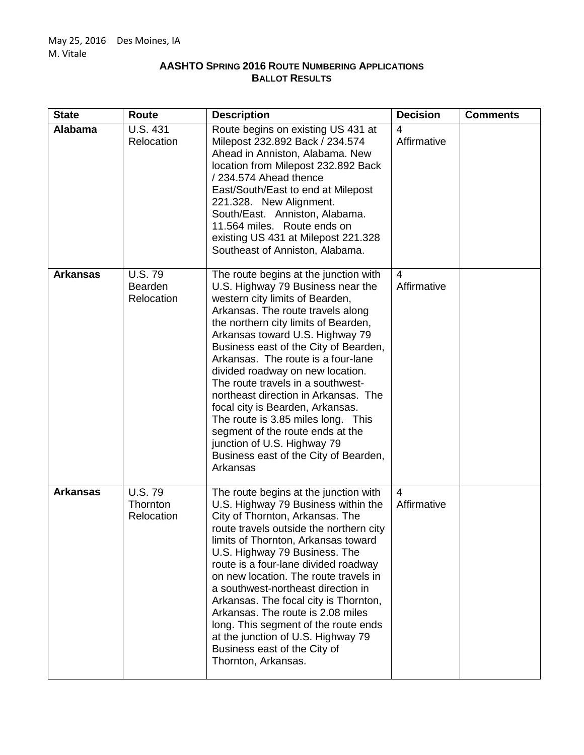## **AASHTO SPRING 2016 ROUTE NUMBERING APPLICATIONS BALLOT RESULTS**

| <b>State</b>    | <b>Route</b>                            | <b>Description</b>                                                                                                                                                                                                                                                                                                                                                                                                                                                                                                                                                                                                              | <b>Decision</b>  | <b>Comments</b> |
|-----------------|-----------------------------------------|---------------------------------------------------------------------------------------------------------------------------------------------------------------------------------------------------------------------------------------------------------------------------------------------------------------------------------------------------------------------------------------------------------------------------------------------------------------------------------------------------------------------------------------------------------------------------------------------------------------------------------|------------------|-----------------|
| Alabama         | <b>U.S. 431</b><br>Relocation           | Route begins on existing US 431 at<br>Milepost 232.892 Back / 234.574<br>Ahead in Anniston, Alabama. New<br>location from Milepost 232.892 Back<br>/234.574 Ahead thence<br>East/South/East to end at Milepost<br>221.328. New Alignment.<br>South/East. Anniston, Alabama.<br>11.564 miles. Route ends on<br>existing US 431 at Milepost 221.328<br>Southeast of Anniston, Alabama.                                                                                                                                                                                                                                            | 4<br>Affirmative |                 |
| <b>Arkansas</b> | <b>U.S. 79</b><br>Bearden<br>Relocation | The route begins at the junction with<br>U.S. Highway 79 Business near the<br>western city limits of Bearden,<br>Arkansas. The route travels along<br>the northern city limits of Bearden,<br>Arkansas toward U.S. Highway 79<br>Business east of the City of Bearden,<br>Arkansas. The route is a four-lane<br>divided roadway on new location.<br>The route travels in a southwest-<br>northeast direction in Arkansas. The<br>focal city is Bearden, Arkansas.<br>The route is 3.85 miles long. This<br>segment of the route ends at the<br>junction of U.S. Highway 79<br>Business east of the City of Bearden,<br>Arkansas | 4<br>Affirmative |                 |
| <b>Arkansas</b> | <b>U.S.79</b><br>Thornton<br>Relocation | The route begins at the junction with<br>U.S. Highway 79 Business within the<br>City of Thornton, Arkansas. The<br>route travels outside the northern city<br>limits of Thornton, Arkansas toward<br>U.S. Highway 79 Business. The<br>route is a four-lane divided roadway<br>on new location. The route travels in<br>a southwest-northeast direction in<br>Arkansas. The focal city is Thornton,<br>Arkansas. The route is 2.08 miles<br>long. This segment of the route ends<br>at the junction of U.S. Highway 79<br>Business east of the City of<br>Thornton, Arkansas.                                                    | 4<br>Affirmative |                 |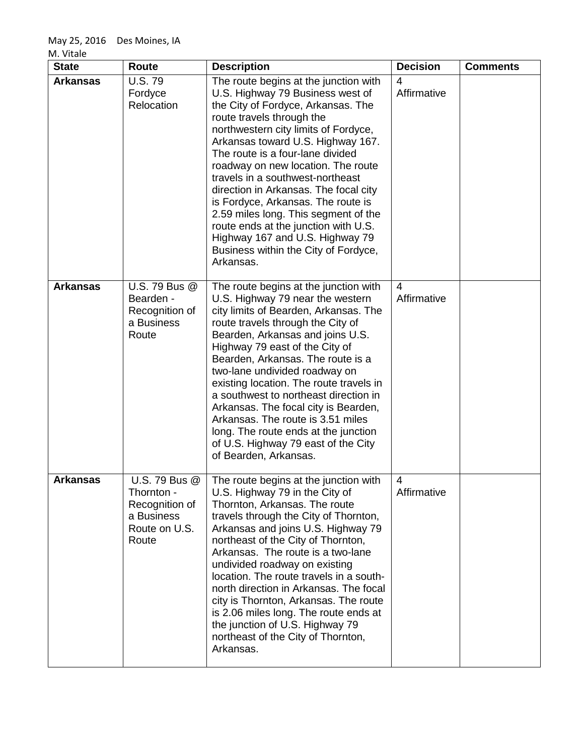| M. Vitale |
|-----------|
|-----------|

| <b>State</b>    | <b>Route</b>                                                                          | <b>Description</b>                                                                                                                                                                                                                                                                                                                                                                                                                                                                                                                                                                             | <b>Decision</b>               | <b>Comments</b> |
|-----------------|---------------------------------------------------------------------------------------|------------------------------------------------------------------------------------------------------------------------------------------------------------------------------------------------------------------------------------------------------------------------------------------------------------------------------------------------------------------------------------------------------------------------------------------------------------------------------------------------------------------------------------------------------------------------------------------------|-------------------------------|-----------------|
| <b>Arkansas</b> | <b>U.S.79</b><br>Fordyce<br>Relocation                                                | The route begins at the junction with<br>U.S. Highway 79 Business west of<br>the City of Fordyce, Arkansas. The<br>route travels through the<br>northwestern city limits of Fordyce,<br>Arkansas toward U.S. Highway 167.<br>The route is a four-lane divided<br>roadway on new location. The route<br>travels in a southwest-northeast<br>direction in Arkansas. The focal city<br>is Fordyce, Arkansas. The route is<br>2.59 miles long. This segment of the<br>route ends at the junction with U.S.<br>Highway 167 and U.S. Highway 79<br>Business within the City of Fordyce,<br>Arkansas. | 4<br>Affirmative              |                 |
| <b>Arkansas</b> | U.S. 79 Bus @<br>Bearden -<br>Recognition of<br>a Business<br>Route                   | The route begins at the junction with<br>U.S. Highway 79 near the western<br>city limits of Bearden, Arkansas. The<br>route travels through the City of<br>Bearden, Arkansas and joins U.S.<br>Highway 79 east of the City of<br>Bearden, Arkansas. The route is a<br>two-lane undivided roadway on<br>existing location. The route travels in<br>a southwest to northeast direction in<br>Arkansas. The focal city is Bearden,<br>Arkansas. The route is 3.51 miles<br>long. The route ends at the junction<br>of U.S. Highway 79 east of the City<br>of Bearden, Arkansas.                   | $\overline{4}$<br>Affirmative |                 |
| <b>Arkansas</b> | U.S. 79 Bus @<br>Thornton -<br>Recognition of<br>a Business<br>Route on U.S.<br>Route | The route begins at the junction with<br>U.S. Highway 79 in the City of<br>Thornton, Arkansas. The route<br>travels through the City of Thornton,<br>Arkansas and joins U.S. Highway 79<br>northeast of the City of Thornton,<br>Arkansas. The route is a two-lane<br>undivided roadway on existing<br>location. The route travels in a south-<br>north direction in Arkansas. The focal<br>city is Thornton, Arkansas. The route<br>is 2.06 miles long. The route ends at<br>the junction of U.S. Highway 79<br>northeast of the City of Thornton,<br>Arkansas.                               | 4<br>Affirmative              |                 |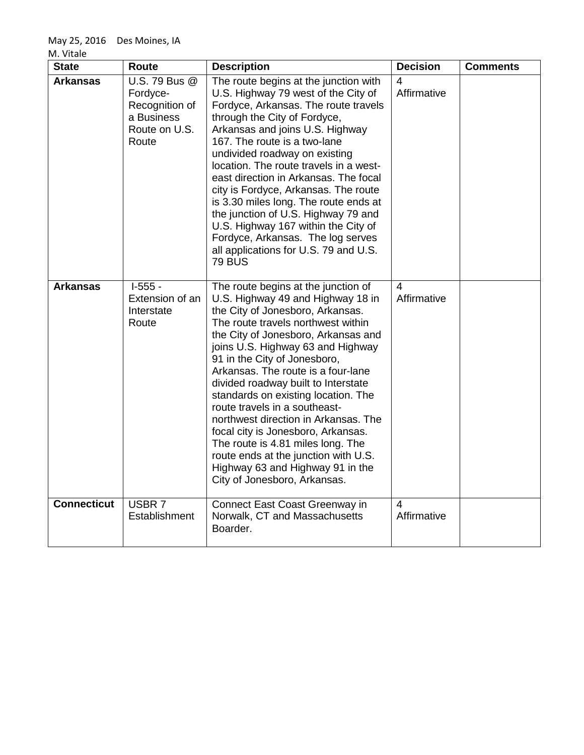|  | M. Vitale |  |
|--|-----------|--|
|--|-----------|--|

| <b>State</b>       | Route                                                                               | <b>Description</b>                                                                                                                                                                                                                                                                                                                                                                                                                                                                                                                                                                                                                                 | <b>Decision</b>  | <b>Comments</b> |
|--------------------|-------------------------------------------------------------------------------------|----------------------------------------------------------------------------------------------------------------------------------------------------------------------------------------------------------------------------------------------------------------------------------------------------------------------------------------------------------------------------------------------------------------------------------------------------------------------------------------------------------------------------------------------------------------------------------------------------------------------------------------------------|------------------|-----------------|
| <b>Arkansas</b>    | U.S. 79 Bus @<br>Fordyce-<br>Recognition of<br>a Business<br>Route on U.S.<br>Route | The route begins at the junction with<br>U.S. Highway 79 west of the City of<br>Fordyce, Arkansas. The route travels<br>through the City of Fordyce,<br>Arkansas and joins U.S. Highway<br>167. The route is a two-lane<br>undivided roadway on existing<br>location. The route travels in a west-<br>east direction in Arkansas. The focal<br>city is Fordyce, Arkansas. The route<br>is 3.30 miles long. The route ends at<br>the junction of U.S. Highway 79 and<br>U.S. Highway 167 within the City of<br>Fordyce, Arkansas. The log serves<br>all applications for U.S. 79 and U.S.<br><b>79 BUS</b>                                          | 4<br>Affirmative |                 |
| <b>Arkansas</b>    | $I-555 -$<br>Extension of an<br>Interstate<br>Route                                 | The route begins at the junction of<br>U.S. Highway 49 and Highway 18 in<br>the City of Jonesboro, Arkansas.<br>The route travels northwest within<br>the City of Jonesboro, Arkansas and<br>joins U.S. Highway 63 and Highway<br>91 in the City of Jonesboro,<br>Arkansas. The route is a four-lane<br>divided roadway built to Interstate<br>standards on existing location. The<br>route travels in a southeast-<br>northwest direction in Arkansas. The<br>focal city is Jonesboro, Arkansas.<br>The route is 4.81 miles long. The<br>route ends at the junction with U.S.<br>Highway 63 and Highway 91 in the<br>City of Jonesboro, Arkansas. | 4<br>Affirmative |                 |
| <b>Connecticut</b> | USBR 7<br>Establishment                                                             | Connect East Coast Greenway in<br>Norwalk, CT and Massachusetts<br>Boarder.                                                                                                                                                                                                                                                                                                                                                                                                                                                                                                                                                                        | 4<br>Affirmative |                 |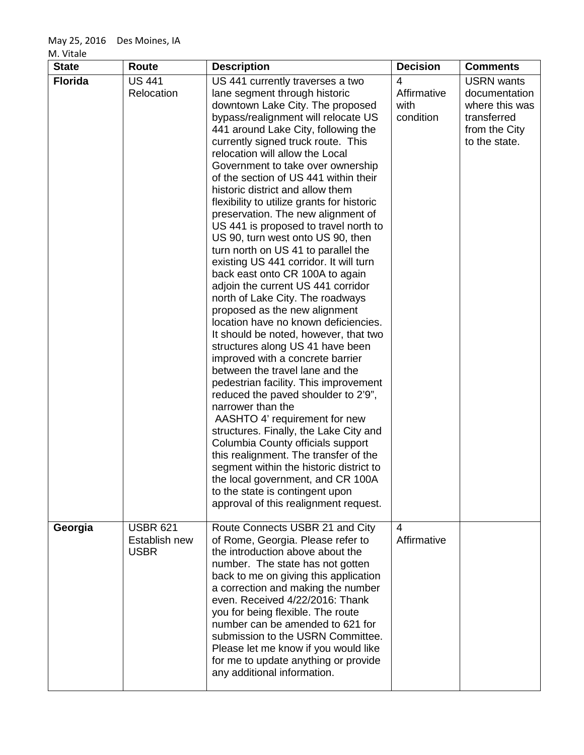| <b>State</b>   | Route                                           | <b>Description</b>                                                                                                                                                                                                                                                                                                                                                                                                                                                                                                                                                                                                                                                                                                                                                                                                                                                                                                                                                                                                                                                                                                                                                                                                                                                                                                                                                                                    | <b>Decision</b>                       | <b>Comments</b>                                                                                       |
|----------------|-------------------------------------------------|-------------------------------------------------------------------------------------------------------------------------------------------------------------------------------------------------------------------------------------------------------------------------------------------------------------------------------------------------------------------------------------------------------------------------------------------------------------------------------------------------------------------------------------------------------------------------------------------------------------------------------------------------------------------------------------------------------------------------------------------------------------------------------------------------------------------------------------------------------------------------------------------------------------------------------------------------------------------------------------------------------------------------------------------------------------------------------------------------------------------------------------------------------------------------------------------------------------------------------------------------------------------------------------------------------------------------------------------------------------------------------------------------------|---------------------------------------|-------------------------------------------------------------------------------------------------------|
| <b>Florida</b> | <b>US 441</b><br>Relocation                     | US 441 currently traverses a two<br>lane segment through historic<br>downtown Lake City. The proposed<br>bypass/realignment will relocate US<br>441 around Lake City, following the<br>currently signed truck route. This<br>relocation will allow the Local<br>Government to take over ownership<br>of the section of US 441 within their<br>historic district and allow them<br>flexibility to utilize grants for historic<br>preservation. The new alignment of<br>US 441 is proposed to travel north to<br>US 90, turn west onto US 90, then<br>turn north on US 41 to parallel the<br>existing US 441 corridor. It will turn<br>back east onto CR 100A to again<br>adjoin the current US 441 corridor<br>north of Lake City. The roadways<br>proposed as the new alignment<br>location have no known deficiencies.<br>It should be noted, however, that two<br>structures along US 41 have been<br>improved with a concrete barrier<br>between the travel lane and the<br>pedestrian facility. This improvement<br>reduced the paved shoulder to 2'9",<br>narrower than the<br>AASHTO 4' requirement for new<br>structures. Finally, the Lake City and<br>Columbia County officials support<br>this realignment. The transfer of the<br>segment within the historic district to<br>the local government, and CR 100A<br>to the state is contingent upon<br>approval of this realignment request. | 4<br>Affirmative<br>with<br>condition | <b>USRN</b> wants<br>documentation<br>where this was<br>transferred<br>from the City<br>to the state. |
| Georgia        | <b>USBR 621</b><br>Establish new<br><b>USBR</b> | Route Connects USBR 21 and City<br>of Rome, Georgia. Please refer to<br>the introduction above about the<br>number. The state has not gotten<br>back to me on giving this application<br>a correction and making the number<br>even. Received 4/22/2016: Thank<br>you for being flexible. The route<br>number can be amended to 621 for<br>submission to the USRN Committee.<br>Please let me know if you would like<br>for me to update anything or provide<br>any additional information.                                                                                                                                                                                                                                                                                                                                                                                                                                                                                                                                                                                                                                                                                                                                                                                                                                                                                                           | 4<br>Affirmative                      |                                                                                                       |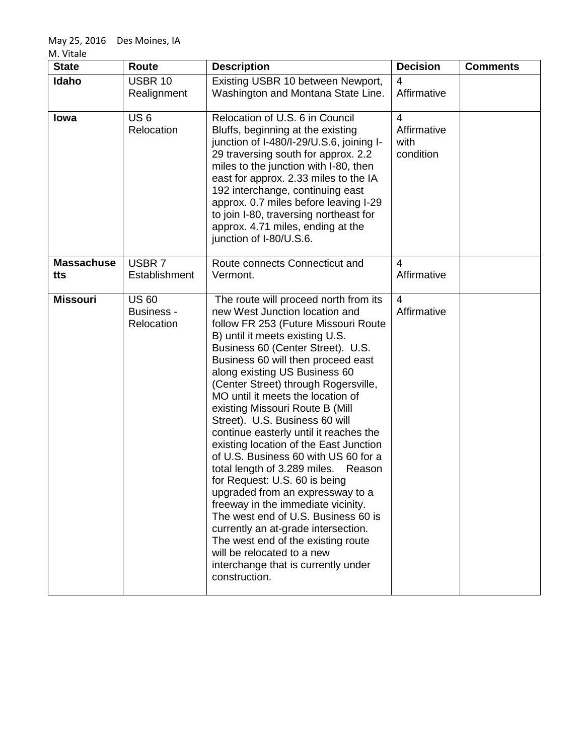| <b>State</b>             | <b>Route</b>                                    | <b>Description</b>                                                                                                                                                                                                                                                                                                                                                                                                                                                                                                                                                                                                                                                                                                                                                                                                                                                                                          | <b>Decision</b>                                    | <b>Comments</b> |
|--------------------------|-------------------------------------------------|-------------------------------------------------------------------------------------------------------------------------------------------------------------------------------------------------------------------------------------------------------------------------------------------------------------------------------------------------------------------------------------------------------------------------------------------------------------------------------------------------------------------------------------------------------------------------------------------------------------------------------------------------------------------------------------------------------------------------------------------------------------------------------------------------------------------------------------------------------------------------------------------------------------|----------------------------------------------------|-----------------|
| Idaho                    | <b>USBR 10</b><br>Realignment                   | Existing USBR 10 between Newport,<br>Washington and Montana State Line.                                                                                                                                                                                                                                                                                                                                                                                                                                                                                                                                                                                                                                                                                                                                                                                                                                     | 4<br>Affirmative                                   |                 |
| lowa                     | US <sub>6</sub><br>Relocation                   | Relocation of U.S. 6 in Council<br>Bluffs, beginning at the existing<br>junction of I-480/I-29/U.S.6, joining I-<br>29 traversing south for approx. 2.2<br>miles to the junction with I-80, then<br>east for approx. 2.33 miles to the IA<br>192 interchange, continuing east<br>approx. 0.7 miles before leaving I-29<br>to join I-80, traversing northeast for<br>approx. 4.71 miles, ending at the<br>junction of I-80/U.S.6.                                                                                                                                                                                                                                                                                                                                                                                                                                                                            | $\overline{4}$<br>Affirmative<br>with<br>condition |                 |
| <b>Massachuse</b><br>tts | USBR 7<br>Establishment                         | Route connects Connecticut and<br>Vermont.                                                                                                                                                                                                                                                                                                                                                                                                                                                                                                                                                                                                                                                                                                                                                                                                                                                                  | 4<br>Affirmative                                   |                 |
| <b>Missouri</b>          | <b>US 60</b><br><b>Business -</b><br>Relocation | The route will proceed north from its<br>new West Junction location and<br>follow FR 253 (Future Missouri Route<br>B) until it meets existing U.S.<br>Business 60 (Center Street). U.S.<br>Business 60 will then proceed east<br>along existing US Business 60<br>(Center Street) through Rogersville,<br>MO until it meets the location of<br>existing Missouri Route B (Mill<br>Street). U.S. Business 60 will<br>continue easterly until it reaches the<br>existing location of the East Junction<br>of U.S. Business 60 with US 60 for a<br>total length of 3.289 miles.<br>Reason<br>for Request: U.S. 60 is being<br>upgraded from an expressway to a<br>freeway in the immediate vicinity.<br>The west end of U.S. Business 60 is<br>currently an at-grade intersection.<br>The west end of the existing route<br>will be relocated to a new<br>interchange that is currently under<br>construction. | 4<br>Affirmative                                   |                 |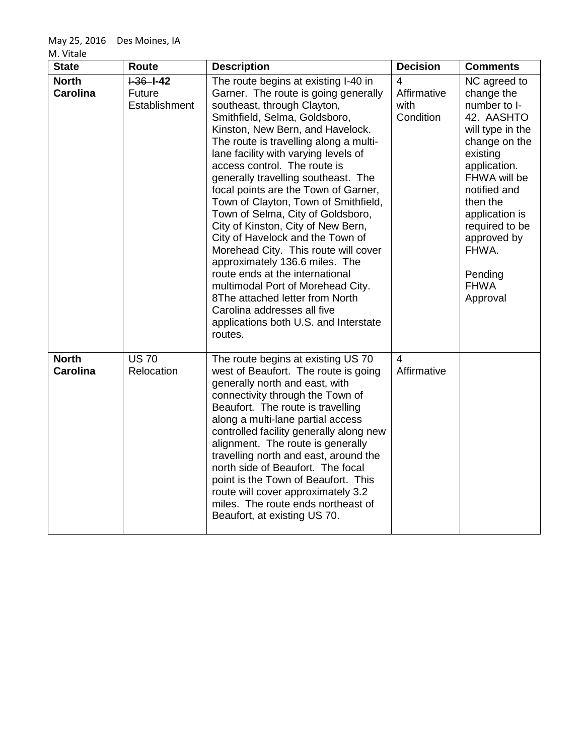M. Vitale

| <b>State</b>                    | Route                                  | <b>Description</b>                                                                                                                                                                                                                                                                                                                                                                                                                                                                                                                                                                                                                                                                                                                                                                                               | <b>Decision</b>                       | <b>Comments</b>                                                                                                                                                                                                                                                         |
|---------------------------------|----------------------------------------|------------------------------------------------------------------------------------------------------------------------------------------------------------------------------------------------------------------------------------------------------------------------------------------------------------------------------------------------------------------------------------------------------------------------------------------------------------------------------------------------------------------------------------------------------------------------------------------------------------------------------------------------------------------------------------------------------------------------------------------------------------------------------------------------------------------|---------------------------------------|-------------------------------------------------------------------------------------------------------------------------------------------------------------------------------------------------------------------------------------------------------------------------|
| <b>North</b><br><b>Carolina</b> | $-36 - -42$<br>Future<br>Establishment | The route begins at existing I-40 in<br>Garner. The route is going generally<br>southeast, through Clayton,<br>Smithfield, Selma, Goldsboro,<br>Kinston, New Bern, and Havelock.<br>The route is travelling along a multi-<br>lane facility with varying levels of<br>access control. The route is<br>generally travelling southeast. The<br>focal points are the Town of Garner,<br>Town of Clayton, Town of Smithfield,<br>Town of Selma, City of Goldsboro,<br>City of Kinston, City of New Bern,<br>City of Havelock and the Town of<br>Morehead City. This route will cover<br>approximately 136.6 miles. The<br>route ends at the international<br>multimodal Port of Morehead City.<br>8The attached letter from North<br>Carolina addresses all five<br>applications both U.S. and Interstate<br>routes. | 4<br>Affirmative<br>with<br>Condition | NC agreed to<br>change the<br>number to I-<br>42. AASHTO<br>will type in the<br>change on the<br>existing<br>application.<br>FHWA will be<br>notified and<br>then the<br>application is<br>required to be<br>approved by<br>FHWA.<br>Pending<br><b>FHWA</b><br>Approval |
| <b>North</b><br><b>Carolina</b> | <b>US 70</b><br>Relocation             | The route begins at existing US 70<br>west of Beaufort. The route is going<br>generally north and east, with<br>connectivity through the Town of<br>Beaufort. The route is travelling<br>along a multi-lane partial access<br>controlled facility generally along new<br>alignment. The route is generally<br>travelling north and east, around the<br>north side of Beaufort. The focal<br>point is the Town of Beaufort. This<br>route will cover approximately 3.2<br>miles. The route ends northeast of<br>Beaufort, at existing US 70.                                                                                                                                                                                                                                                                      | 4<br>Affirmative                      |                                                                                                                                                                                                                                                                         |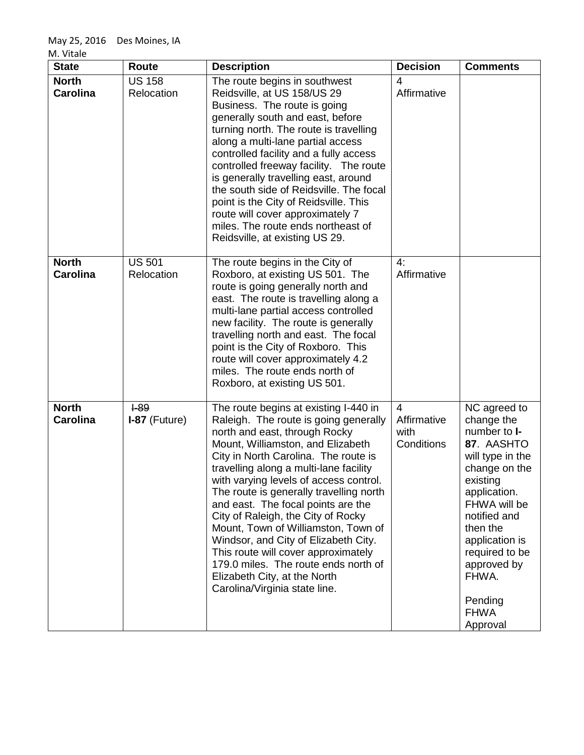| <b>State</b>                    | <b>Route</b>                | <b>Description</b>                                                                                                                                                                                                                                                                                                                                                                                                                                                                                                                                                                                                                     | <b>Decision</b>                                     | <b>Comments</b>                                                                                                                                                                                                                                                                |
|---------------------------------|-----------------------------|----------------------------------------------------------------------------------------------------------------------------------------------------------------------------------------------------------------------------------------------------------------------------------------------------------------------------------------------------------------------------------------------------------------------------------------------------------------------------------------------------------------------------------------------------------------------------------------------------------------------------------------|-----------------------------------------------------|--------------------------------------------------------------------------------------------------------------------------------------------------------------------------------------------------------------------------------------------------------------------------------|
| <b>North</b><br><b>Carolina</b> | <b>US 158</b><br>Relocation | The route begins in southwest<br>Reidsville, at US 158/US 29<br>Business. The route is going<br>generally south and east, before<br>turning north. The route is travelling<br>along a multi-lane partial access<br>controlled facility and a fully access<br>controlled freeway facility. The route<br>is generally travelling east, around<br>the south side of Reidsville. The focal<br>point is the City of Reidsville. This<br>route will cover approximately 7<br>miles. The route ends northeast of<br>Reidsville, at existing US 29.                                                                                            | 4<br>Affirmative                                    |                                                                                                                                                                                                                                                                                |
| <b>North</b><br><b>Carolina</b> | <b>US 501</b><br>Relocation | The route begins in the City of<br>Roxboro, at existing US 501. The<br>route is going generally north and<br>east. The route is travelling along a<br>multi-lane partial access controlled<br>new facility. The route is generally<br>travelling north and east. The focal<br>point is the City of Roxboro. This<br>route will cover approximately 4.2<br>miles. The route ends north of<br>Roxboro, at existing US 501.                                                                                                                                                                                                               | 4:<br>Affirmative                                   |                                                                                                                                                                                                                                                                                |
| <b>North</b><br><b>Carolina</b> | $+89$<br>$I-87$ (Future)    | The route begins at existing I-440 in<br>Raleigh. The route is going generally<br>north and east, through Rocky<br>Mount, Williamston, and Elizabeth<br>City in North Carolina. The route is<br>travelling along a multi-lane facility<br>with varying levels of access control.<br>The route is generally travelling north<br>and east. The focal points are the<br>City of Raleigh, the City of Rocky<br>Mount, Town of Williamston, Town of<br>Windsor, and City of Elizabeth City.<br>This route will cover approximately<br>179.0 miles. The route ends north of<br>Elizabeth City, at the North<br>Carolina/Virginia state line. | $\overline{4}$<br>Affirmative<br>with<br>Conditions | NC agreed to<br>change the<br>number to <b>I-</b><br>87. AASHTO<br>will type in the<br>change on the<br>existing<br>application.<br>FHWA will be<br>notified and<br>then the<br>application is<br>required to be<br>approved by<br>FHWA.<br>Pending<br><b>FHWA</b><br>Approval |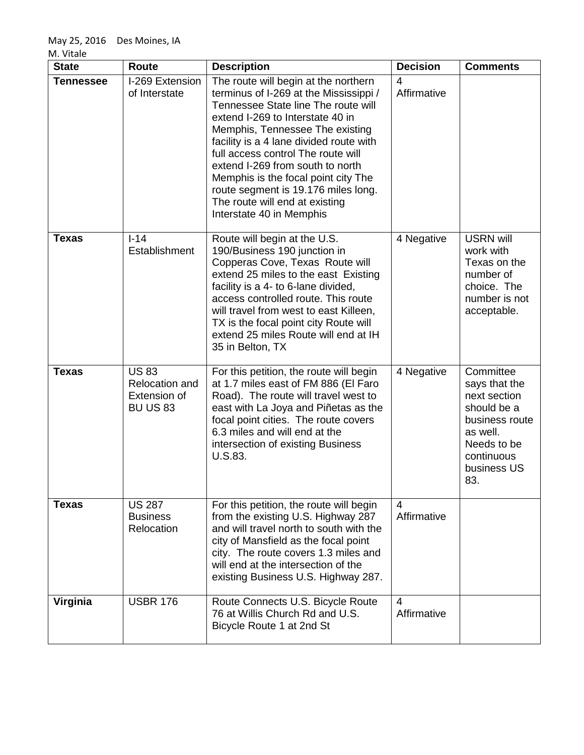| <b>State</b>     | <b>Route</b>                                                            | <b>Description</b>                                                                                                                                                                                                                                                                                                                                                                                                                                            | <b>Decision</b>               | <b>Comments</b>                                                                                                                            |
|------------------|-------------------------------------------------------------------------|---------------------------------------------------------------------------------------------------------------------------------------------------------------------------------------------------------------------------------------------------------------------------------------------------------------------------------------------------------------------------------------------------------------------------------------------------------------|-------------------------------|--------------------------------------------------------------------------------------------------------------------------------------------|
| <b>Tennessee</b> | I-269 Extension<br>of Interstate                                        | The route will begin at the northern<br>terminus of I-269 at the Mississippi /<br>Tennessee State line The route will<br>extend I-269 to Interstate 40 in<br>Memphis, Tennessee The existing<br>facility is a 4 lane divided route with<br>full access control The route will<br>extend I-269 from south to north<br>Memphis is the focal point city The<br>route segment is 19.176 miles long.<br>The route will end at existing<br>Interstate 40 in Memphis | 4<br>Affirmative              |                                                                                                                                            |
| <b>Texas</b>     | $I-14$<br>Establishment                                                 | Route will begin at the U.S.<br>190/Business 190 junction in<br>Copperas Cove, Texas Route will<br>extend 25 miles to the east Existing<br>facility is a 4- to 6-lane divided,<br>access controlled route. This route<br>will travel from west to east Killeen,<br>TX is the focal point city Route will<br>extend 25 miles Route will end at IH<br>35 in Belton, TX                                                                                          | 4 Negative                    | <b>USRN will</b><br>work with<br>Texas on the<br>number of<br>choice. The<br>number is not<br>acceptable.                                  |
| <b>Texas</b>     | <b>US83</b><br><b>Relocation and</b><br>Extension of<br><b>BU US 83</b> | For this petition, the route will begin<br>at 1.7 miles east of FM 886 (El Faro<br>Road). The route will travel west to<br>east with La Joya and Piñetas as the<br>focal point cities. The route covers<br>6.3 miles and will end at the<br>intersection of existing Business<br>U.S.83.                                                                                                                                                                      | 4 Negative                    | Committee<br>says that the<br>next section<br>should be a<br>business route<br>as well.<br>Needs to be<br>continuous<br>business US<br>83. |
| <b>Texas</b>     | <b>US 287</b><br><b>Business</b><br>Relocation                          | For this petition, the route will begin<br>from the existing U.S. Highway 287<br>and will travel north to south with the<br>city of Mansfield as the focal point<br>city. The route covers 1.3 miles and<br>will end at the intersection of the<br>existing Business U.S. Highway 287.                                                                                                                                                                        | $\overline{4}$<br>Affirmative |                                                                                                                                            |
| Virginia         | <b>USBR 176</b>                                                         | Route Connects U.S. Bicycle Route<br>76 at Willis Church Rd and U.S.<br>Bicycle Route 1 at 2nd St                                                                                                                                                                                                                                                                                                                                                             | $\overline{4}$<br>Affirmative |                                                                                                                                            |